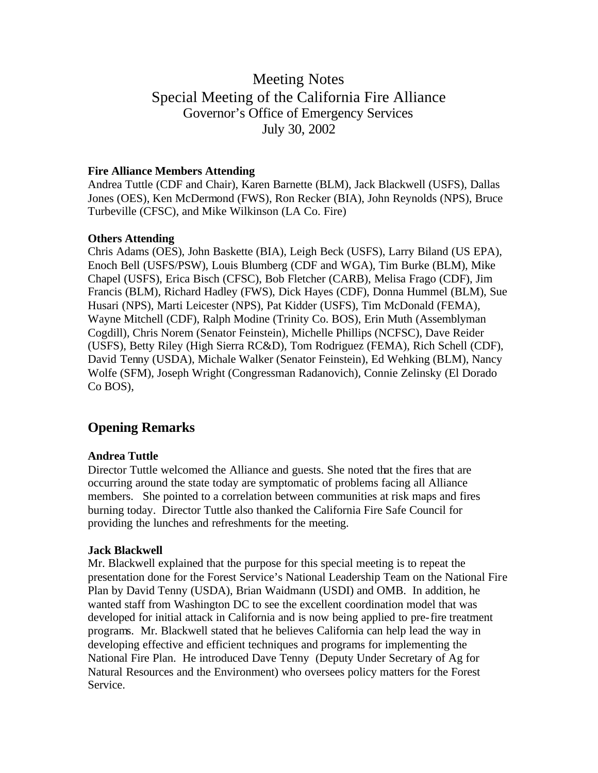# Meeting Notes Special Meeting of the California Fire Alliance Governor's Office of Emergency Services July 30, 2002

## **Fire Alliance Members Attending**

Andrea Tuttle (CDF and Chair), Karen Barnette (BLM), Jack Blackwell (USFS), Dallas Jones (OES), Ken McDermond (FWS), Ron Recker (BIA), John Reynolds (NPS), Bruce Turbeville (CFSC), and Mike Wilkinson (LA Co. Fire)

## **Others Attending**

Chris Adams (OES), John Baskette (BIA), Leigh Beck (USFS), Larry Biland (US EPA), Enoch Bell (USFS/PSW), Louis Blumberg (CDF and WGA), Tim Burke (BLM), Mike Chapel (USFS), Erica Bisch (CFSC), Bob Fletcher (CARB), Melisa Frago (CDF), Jim Francis (BLM), Richard Hadley (FWS), Dick Hayes (CDF), Donna Hummel (BLM), Sue Husari (NPS), Marti Leicester (NPS), Pat Kidder (USFS), Tim McDonald (FEMA), Wayne Mitchell (CDF), Ralph Modine (Trinity Co. BOS), Erin Muth (Assemblyman Cogdill), Chris Norem (Senator Feinstein), Michelle Phillips (NCFSC), Dave Reider (USFS), Betty Riley (High Sierra RC&D), Tom Rodriguez (FEMA), Rich Schell (CDF), David Tenny (USDA), Michale Walker (Senator Feinstein), Ed Wehking (BLM), Nancy Wolfe (SFM), Joseph Wright (Congressman Radanovich), Connie Zelinsky (El Dorado Co BOS),

## **Opening Remarks**

## **Andrea Tuttle**

Director Tuttle welcomed the Alliance and guests. She noted that the fires that are occurring around the state today are symptomatic of problems facing all Alliance members. She pointed to a correlation between communities at risk maps and fires burning today. Director Tuttle also thanked the California Fire Safe Council for providing the lunches and refreshments for the meeting.

### **Jack Blackwell**

Mr. Blackwell explained that the purpose for this special meeting is to repeat the presentation done for the Forest Service's National Leadership Team on the National Fire Plan by David Tenny (USDA), Brian Waidmann (USDI) and OMB. In addition, he wanted staff from Washington DC to see the excellent coordination model that was developed for initial attack in California and is now being applied to pre-fire treatment programs. Mr. Blackwell stated that he believes California can help lead the way in developing effective and efficient techniques and programs for implementing the National Fire Plan. He introduced Dave Tenny (Deputy Under Secretary of Ag for Natural Resources and the Environment) who oversees policy matters for the Forest Service.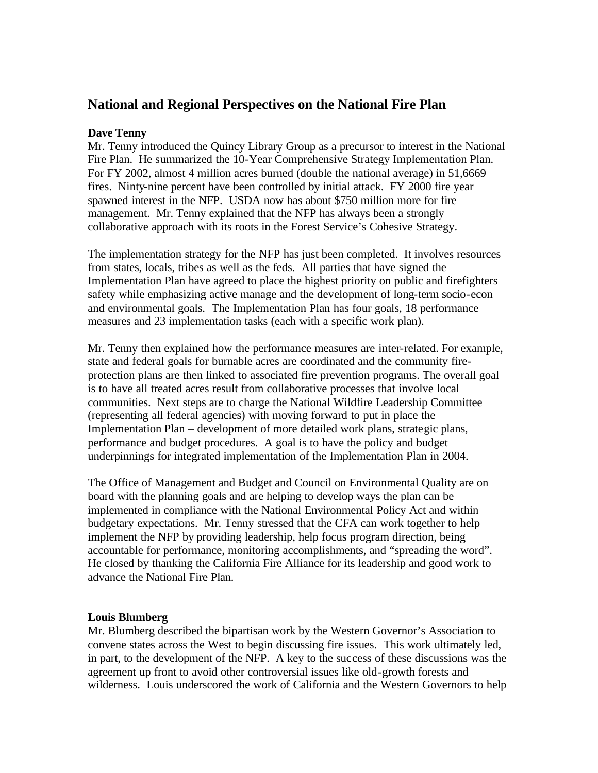## **National and Regional Perspectives on the National Fire Plan**

### **Dave Tenny**

Mr. Tenny introduced the Quincy Library Group as a precursor to interest in the National Fire Plan. He summarized the 10-Year Comprehensive Strategy Implementation Plan. For FY 2002, almost 4 million acres burned (double the national average) in 51,6669 fires. Ninty-nine percent have been controlled by initial attack. FY 2000 fire year spawned interest in the NFP. USDA now has about \$750 million more for fire management. Mr. Tenny explained that the NFP has always been a strongly collaborative approach with its roots in the Forest Service's Cohesive Strategy.

The implementation strategy for the NFP has just been completed. It involves resources from states, locals, tribes as well as the feds. All parties that have signed the Implementation Plan have agreed to place the highest priority on public and firefighters safety while emphasizing active manage and the development of long-term socio-econ and environmental goals. The Implementation Plan has four goals, 18 performance measures and 23 implementation tasks (each with a specific work plan).

Mr. Tenny then explained how the performance measures are inter-related. For example, state and federal goals for burnable acres are coordinated and the community fireprotection plans are then linked to associated fire prevention programs. The overall goal is to have all treated acres result from collaborative processes that involve local communities. Next steps are to charge the National Wildfire Leadership Committee (representing all federal agencies) with moving forward to put in place the Implementation Plan – development of more detailed work plans, strategic plans, performance and budget procedures. A goal is to have the policy and budget underpinnings for integrated implementation of the Implementation Plan in 2004.

The Office of Management and Budget and Council on Environmental Quality are on board with the planning goals and are helping to develop ways the plan can be implemented in compliance with the National Environmental Policy Act and within budgetary expectations. Mr. Tenny stressed that the CFA can work together to help implement the NFP by providing leadership, help focus program direction, being accountable for performance, monitoring accomplishments, and "spreading the word". He closed by thanking the California Fire Alliance for its leadership and good work to advance the National Fire Plan.

## **Louis Blumberg**

Mr. Blumberg described the bipartisan work by the Western Governor's Association to convene states across the West to begin discussing fire issues. This work ultimately led, in part, to the development of the NFP. A key to the success of these discussions was the agreement up front to avoid other controversial issues like old-growth forests and wilderness. Louis underscored the work of California and the Western Governors to help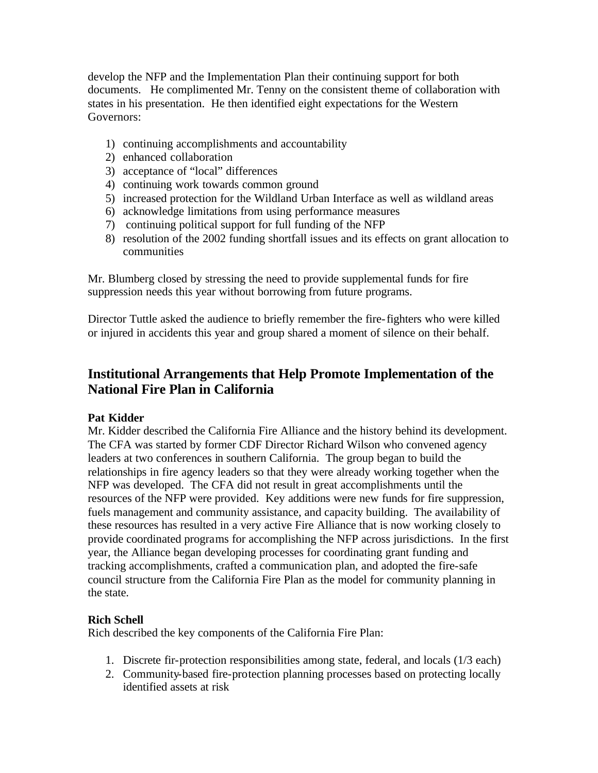develop the NFP and the Implementation Plan their continuing support for both documents. He complimented Mr. Tenny on the consistent theme of collaboration with states in his presentation. He then identified eight expectations for the Western Governors:

- 1) continuing accomplishments and accountability
- 2) enhanced collaboration
- 3) acceptance of "local" differences
- 4) continuing work towards common ground
- 5) increased protection for the Wildland Urban Interface as well as wildland areas
- 6) acknowledge limitations from using performance measures
- 7) continuing political support for full funding of the NFP
- 8) resolution of the 2002 funding shortfall issues and its effects on grant allocation to communities

Mr. Blumberg closed by stressing the need to provide supplemental funds for fire suppression needs this year without borrowing from future programs.

Director Tuttle asked the audience to briefly remember the fire-fighters who were killed or injured in accidents this year and group shared a moment of silence on their behalf.

# **Institutional Arrangements that Help Promote Implementation of the National Fire Plan in California**

## **Pat Kidder**

Mr. Kidder described the California Fire Alliance and the history behind its development. The CFA was started by former CDF Director Richard Wilson who convened agency leaders at two conferences in southern California. The group began to build the relationships in fire agency leaders so that they were already working together when the NFP was developed. The CFA did not result in great accomplishments until the resources of the NFP were provided. Key additions were new funds for fire suppression, fuels management and community assistance, and capacity building. The availability of these resources has resulted in a very active Fire Alliance that is now working closely to provide coordinated programs for accomplishing the NFP across jurisdictions. In the first year, the Alliance began developing processes for coordinating grant funding and tracking accomplishments, crafted a communication plan, and adopted the fire-safe council structure from the California Fire Plan as the model for community planning in the state.

## **Rich Schell**

Rich described the key components of the California Fire Plan:

- 1. Discrete fir-protection responsibilities among state, federal, and locals (1/3 each)
- 2. Community-based fire-protection planning processes based on protecting locally identified assets at risk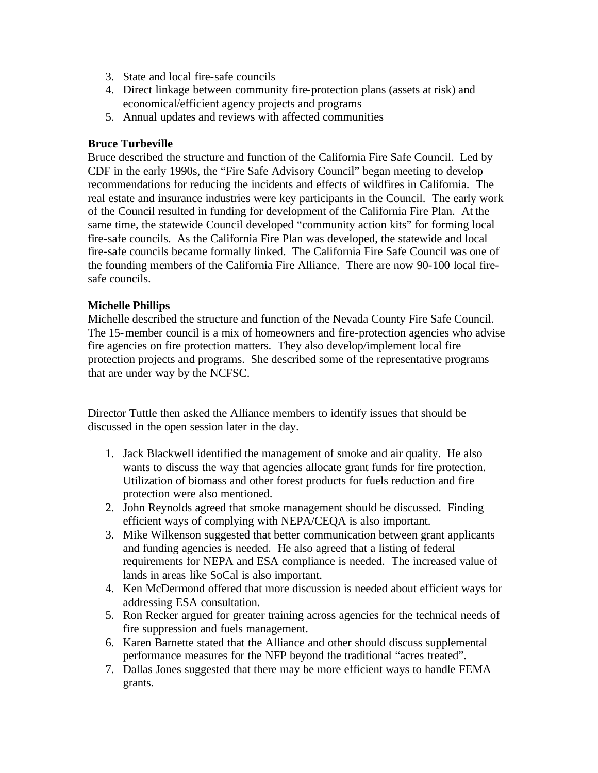- 3. State and local fire-safe councils
- 4. Direct linkage between community fire-protection plans (assets at risk) and economical/efficient agency projects and programs
- 5. Annual updates and reviews with affected communities

## **Bruce Turbeville**

Bruce described the structure and function of the California Fire Safe Council. Led by CDF in the early 1990s, the "Fire Safe Advisory Council" began meeting to develop recommendations for reducing the incidents and effects of wildfires in California. The real estate and insurance industries were key participants in the Council. The early work of the Council resulted in funding for development of the California Fire Plan. At the same time, the statewide Council developed "community action kits" for forming local fire-safe councils. As the California Fire Plan was developed, the statewide and local fire-safe councils became formally linked. The California Fire Safe Council was one of the founding members of the California Fire Alliance. There are now 90-100 local firesafe councils.

## **Michelle Phillips**

Michelle described the structure and function of the Nevada County Fire Safe Council. The 15-member council is a mix of homeowners and fire-protection agencies who advise fire agencies on fire protection matters. They also develop/implement local fire protection projects and programs. She described some of the representative programs that are under way by the NCFSC.

Director Tuttle then asked the Alliance members to identify issues that should be discussed in the open session later in the day.

- 1. Jack Blackwell identified the management of smoke and air quality. He also wants to discuss the way that agencies allocate grant funds for fire protection. Utilization of biomass and other forest products for fuels reduction and fire protection were also mentioned.
- 2. John Reynolds agreed that smoke management should be discussed. Finding efficient ways of complying with NEPA/CEQA is also important.
- 3. Mike Wilkenson suggested that better communication between grant applicants and funding agencies is needed. He also agreed that a listing of federal requirements for NEPA and ESA compliance is needed. The increased value of lands in areas like SoCal is also important.
- 4. Ken McDermond offered that more discussion is needed about efficient ways for addressing ESA consultation.
- 5. Ron Recker argued for greater training across agencies for the technical needs of fire suppression and fuels management.
- 6. Karen Barnette stated that the Alliance and other should discuss supplemental performance measures for the NFP beyond the traditional "acres treated".
- 7. Dallas Jones suggested that there may be more efficient ways to handle FEMA grants.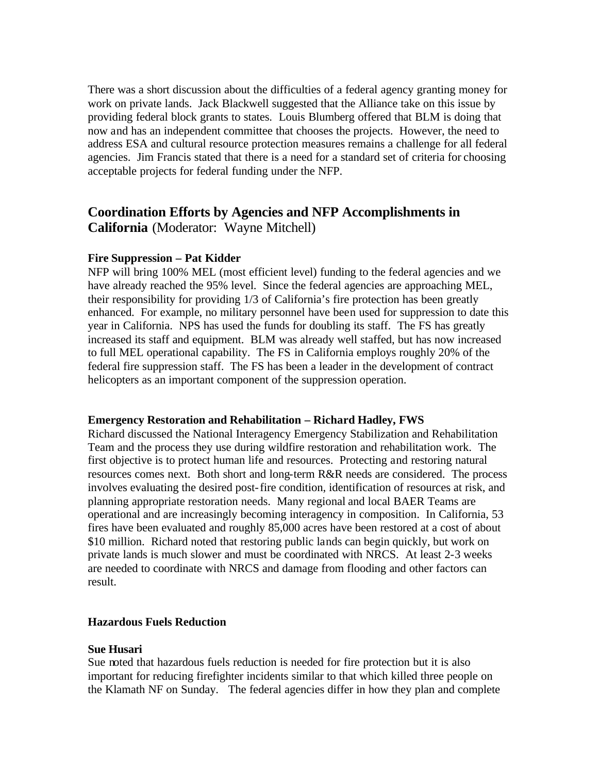There was a short discussion about the difficulties of a federal agency granting money for work on private lands. Jack Blackwell suggested that the Alliance take on this issue by providing federal block grants to states. Louis Blumberg offered that BLM is doing that now and has an independent committee that chooses the projects. However, the need to address ESA and cultural resource protection measures remains a challenge for all federal agencies. Jim Francis stated that there is a need for a standard set of criteria for choosing acceptable projects for federal funding under the NFP.

## **Coordination Efforts by Agencies and NFP Accomplishments in California** (Moderator: Wayne Mitchell)

#### **Fire Suppression – Pat Kidder**

NFP will bring 100% MEL (most efficient level) funding to the federal agencies and we have already reached the 95% level. Since the federal agencies are approaching MEL, their responsibility for providing 1/3 of California's fire protection has been greatly enhanced. For example, no military personnel have been used for suppression to date this year in California. NPS has used the funds for doubling its staff. The FS has greatly increased its staff and equipment. BLM was already well staffed, but has now increased to full MEL operational capability. The FS in California employs roughly 20% of the federal fire suppression staff. The FS has been a leader in the development of contract helicopters as an important component of the suppression operation.

#### **Emergency Restoration and Rehabilitation – Richard Hadley, FWS**

Richard discussed the National Interagency Emergency Stabilization and Rehabilitation Team and the process they use during wildfire restoration and rehabilitation work. The first objective is to protect human life and resources. Protecting and restoring natural resources comes next. Both short and long-term R&R needs are considered. The process involves evaluating the desired post-fire condition, identification of resources at risk, and planning appropriate restoration needs. Many regional and local BAER Teams are operational and are increasingly becoming interagency in composition. In California, 53 fires have been evaluated and roughly 85,000 acres have been restored at a cost of about \$10 million. Richard noted that restoring public lands can begin quickly, but work on private lands is much slower and must be coordinated with NRCS. At least 2-3 weeks are needed to coordinate with NRCS and damage from flooding and other factors can result.

#### **Hazardous Fuels Reduction**

#### **Sue Husari**

Sue noted that hazardous fuels reduction is needed for fire protection but it is also important for reducing firefighter incidents similar to that which killed three people on the Klamath NF on Sunday. The federal agencies differ in how they plan and complete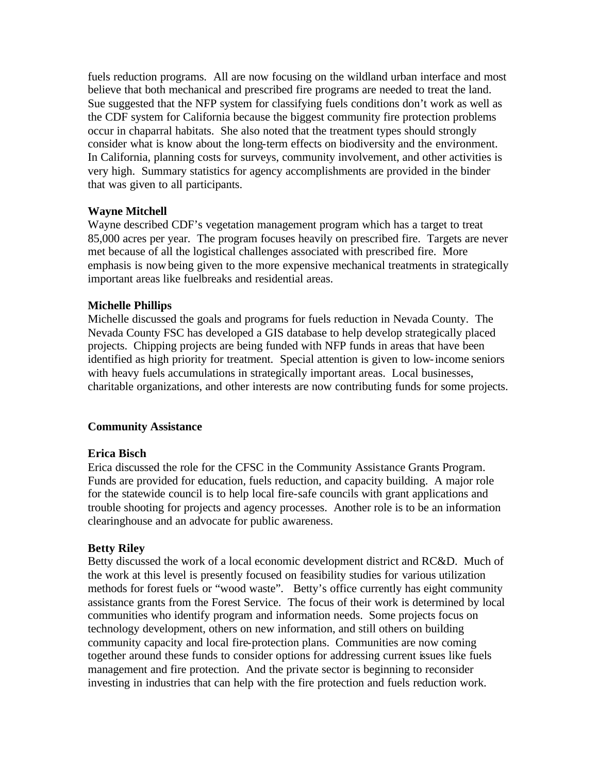fuels reduction programs. All are now focusing on the wildland urban interface and most believe that both mechanical and prescribed fire programs are needed to treat the land. Sue suggested that the NFP system for classifying fuels conditions don't work as well as the CDF system for California because the biggest community fire protection problems occur in chaparral habitats. She also noted that the treatment types should strongly consider what is know about the long-term effects on biodiversity and the environment. In California, planning costs for surveys, community involvement, and other activities is very high. Summary statistics for agency accomplishments are provided in the binder that was given to all participants.

### **Wayne Mitchell**

Wayne described CDF's vegetation management program which has a target to treat 85,000 acres per year. The program focuses heavily on prescribed fire. Targets are never met because of all the logistical challenges associated with prescribed fire. More emphasis is now being given to the more expensive mechanical treatments in strategically important areas like fuelbreaks and residential areas.

### **Michelle Phillips**

Michelle discussed the goals and programs for fuels reduction in Nevada County. The Nevada County FSC has developed a GIS database to help develop strategically placed projects. Chipping projects are being funded with NFP funds in areas that have been identified as high priority for treatment. Special attention is given to low-income seniors with heavy fuels accumulations in strategically important areas. Local businesses, charitable organizations, and other interests are now contributing funds for some projects.

### **Community Assistance**

#### **Erica Bisch**

Erica discussed the role for the CFSC in the Community Assistance Grants Program. Funds are provided for education, fuels reduction, and capacity building. A major role for the statewide council is to help local fire-safe councils with grant applications and trouble shooting for projects and agency processes. Another role is to be an information clearinghouse and an advocate for public awareness.

#### **Betty Riley**

Betty discussed the work of a local economic development district and RC&D. Much of the work at this level is presently focused on feasibility studies for various utilization methods for forest fuels or "wood waste". Betty's office currently has eight community assistance grants from the Forest Service. The focus of their work is determined by local communities who identify program and information needs. Some projects focus on technology development, others on new information, and still others on building community capacity and local fire-protection plans. Communities are now coming together around these funds to consider options for addressing current issues like fuels management and fire protection. And the private sector is beginning to reconsider investing in industries that can help with the fire protection and fuels reduction work.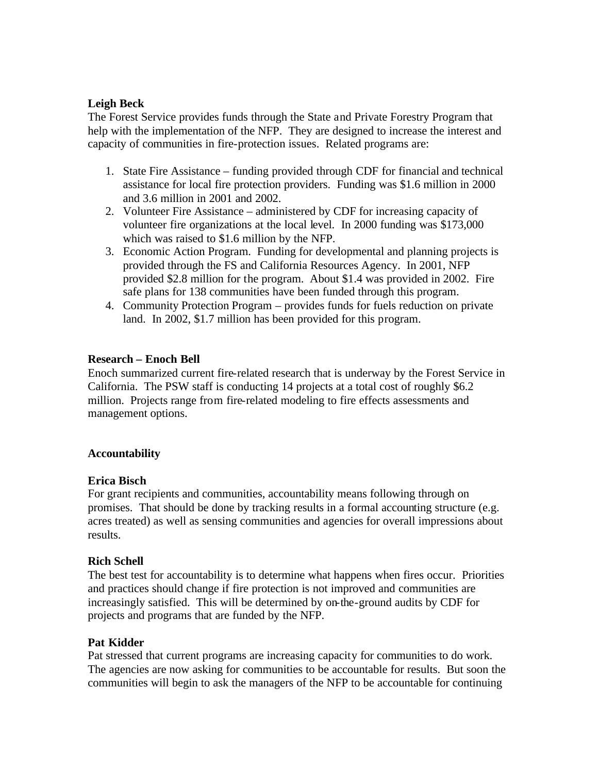## **Leigh Beck**

The Forest Service provides funds through the State and Private Forestry Program that help with the implementation of the NFP. They are designed to increase the interest and capacity of communities in fire-protection issues. Related programs are:

- 1. State Fire Assistance funding provided through CDF for financial and technical assistance for local fire protection providers. Funding was \$1.6 million in 2000 and 3.6 million in 2001 and 2002.
- 2. Volunteer Fire Assistance administered by CDF for increasing capacity of volunteer fire organizations at the local level. In 2000 funding was \$173,000 which was raised to \$1.6 million by the NFP.
- 3. Economic Action Program. Funding for developmental and planning projects is provided through the FS and California Resources Agency. In 2001, NFP provided \$2.8 million for the program. About \$1.4 was provided in 2002. Fire safe plans for 138 communities have been funded through this program.
- 4. Community Protection Program provides funds for fuels reduction on private land. In 2002, \$1.7 million has been provided for this program.

## **Research – Enoch Bell**

Enoch summarized current fire-related research that is underway by the Forest Service in California. The PSW staff is conducting 14 projects at a total cost of roughly \$6.2 million. Projects range from fire-related modeling to fire effects assessments and management options.

## **Accountability**

## **Erica Bisch**

For grant recipients and communities, accountability means following through on promises. That should be done by tracking results in a formal accounting structure (e.g. acres treated) as well as sensing communities and agencies for overall impressions about results.

### **Rich Schell**

The best test for accountability is to determine what happens when fires occur. Priorities and practices should change if fire protection is not improved and communities are increasingly satisfied. This will be determined by on-the-ground audits by CDF for projects and programs that are funded by the NFP.

### **Pat Kidder**

Pat stressed that current programs are increasing capacity for communities to do work. The agencies are now asking for communities to be accountable for results. But soon the communities will begin to ask the managers of the NFP to be accountable for continuing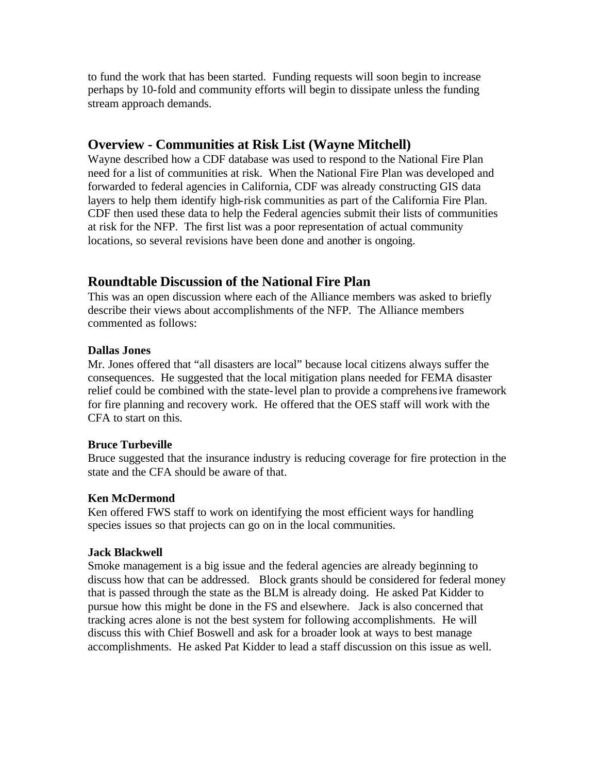to fund the work that has been started. Funding requests will soon begin to increase perhaps by 10-fold and community efforts will begin to dissipate unless the funding stream approach demands.

## **Overview - Communities at Risk List (Wayne Mitchell)**

Wayne described how a CDF database was used to respond to the National Fire Plan need for a list of communities at risk. When the National Fire Plan was developed and forwarded to federal agencies in California, CDF was already constructing GIS data layers to help them identify high-risk communities as part of the California Fire Plan. CDF then used these data to help the Federal agencies submit their lists of communities at risk for the NFP. The first list was a poor representation of actual community locations, so several revisions have been done and another is ongoing.

## **Roundtable Discussion of the National Fire Plan**

This was an open discussion where each of the Alliance members was asked to briefly describe their views about accomplishments of the NFP. The Alliance members commented as follows:

## **Dallas Jones**

Mr. Jones offered that "all disasters are local" because local citizens always suffer the consequences. He suggested that the local mitigation plans needed for FEMA disaster relief could be combined with the state-level plan to provide a comprehensive framework for fire planning and recovery work. He offered that the OES staff will work with the CFA to start on this.

## **Bruce Turbeville**

Bruce suggested that the insurance industry is reducing coverage for fire protection in the state and the CFA should be aware of that.

## **Ken McDermond**

Ken offered FWS staff to work on identifying the most efficient ways for handling species issues so that projects can go on in the local communities.

## **Jack Blackwell**

Smoke management is a big issue and the federal agencies are already beginning to discuss how that can be addressed. Block grants should be considered for federal money that is passed through the state as the BLM is already doing. He asked Pat Kidder to pursue how this might be done in the FS and elsewhere. Jack is also concerned that tracking acres alone is not the best system for following accomplishments. He will discuss this with Chief Boswell and ask for a broader look at ways to best manage accomplishments. He asked Pat Kidder to lead a staff discussion on this issue as well.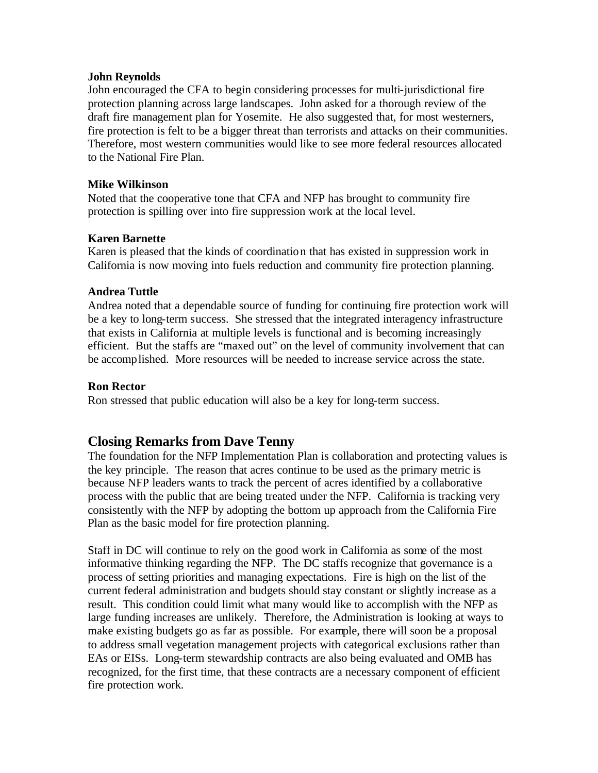#### **John Reynolds**

John encouraged the CFA to begin considering processes for multi-jurisdictional fire protection planning across large landscapes. John asked for a thorough review of the draft fire management plan for Yosemite. He also suggested that, for most westerners, fire protection is felt to be a bigger threat than terrorists and attacks on their communities. Therefore, most western communities would like to see more federal resources allocated to the National Fire Plan.

#### **Mike Wilkinson**

Noted that the cooperative tone that CFA and NFP has brought to community fire protection is spilling over into fire suppression work at the local level.

### **Karen Barnette**

Karen is pleased that the kinds of coordination that has existed in suppression work in California is now moving into fuels reduction and community fire protection planning.

#### **Andrea Tuttle**

Andrea noted that a dependable source of funding for continuing fire protection work will be a key to long-term success. She stressed that the integrated interagency infrastructure that exists in California at multiple levels is functional and is becoming increasingly efficient. But the staffs are "maxed out" on the level of community involvement that can be accomplished. More resources will be needed to increase service across the state.

### **Ron Rector**

Ron stressed that public education will also be a key for long-term success.

## **Closing Remarks from Dave Tenny**

The foundation for the NFP Implementation Plan is collaboration and protecting values is the key principle. The reason that acres continue to be used as the primary metric is because NFP leaders wants to track the percent of acres identified by a collaborative process with the public that are being treated under the NFP. California is tracking very consistently with the NFP by adopting the bottom up approach from the California Fire Plan as the basic model for fire protection planning.

Staff in DC will continue to rely on the good work in California as some of the most informative thinking regarding the NFP. The DC staffs recognize that governance is a process of setting priorities and managing expectations. Fire is high on the list of the current federal administration and budgets should stay constant or slightly increase as a result. This condition could limit what many would like to accomplish with the NFP as large funding increases are unlikely. Therefore, the Administration is looking at ways to make existing budgets go as far as possible. For example, there will soon be a proposal to address small vegetation management projects with categorical exclusions rather than EAs or EISs. Long-term stewardship contracts are also being evaluated and OMB has recognized, for the first time, that these contracts are a necessary component of efficient fire protection work.